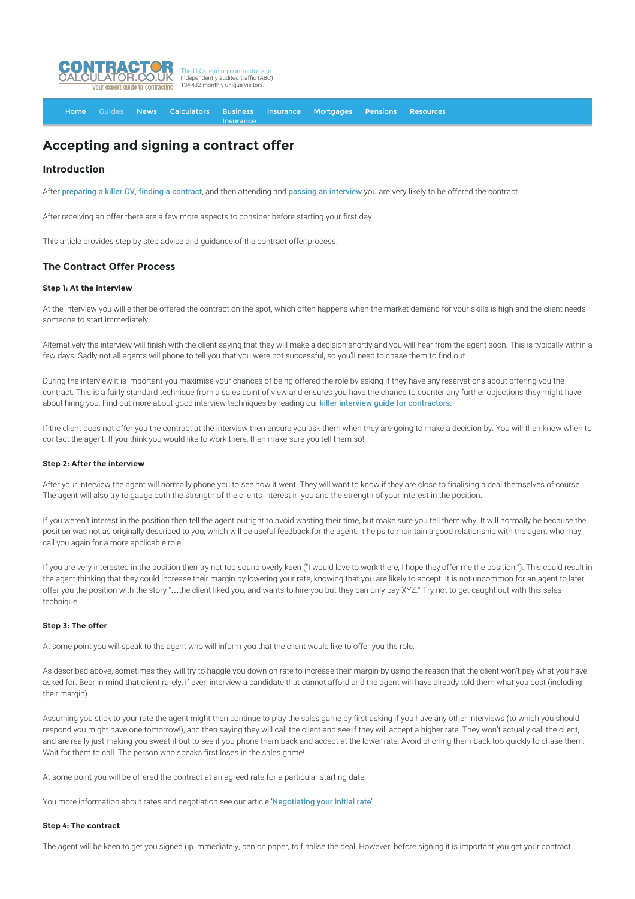

**[Insurance](http://www.contractorcalculator.co.uk/Contractor_Insurances.aspx)** 

# **Accepting and signing a contract offer**

## **Introduction**

After [preparing a killer CV](http://www.contractorcalculator.co.uk/writing_killer_cv.aspx), [finding a contract](http://www.contractorcalculator.co.uk/how_find_contract_uk_contractor.aspx), and then attending and [passing an interview](http://www.contractorcalculator.co.uk/killer_interview_technique_success_contractor.aspx) you are very likely to be offered the contract.

After receiving an offer there are a few more aspects to consider before starting your first day.

This article provides step by step advice and guidance of the contract offer process.

### **The Contract Offer Process**

#### **Step 1: At the interview**

At the interview you will either be offered the contract on the spot, which often happens when the market demand for your skills is high and the client needs someone to start immediately.

Alternatively the interview will finish with the client saying that they will make a decision shortly and you will hear from the agent soon. This is typically within a few days. Sadly not all agents will phone to tell you that you were not successful, so you'll need to chase them to find out.

During the interview it is important you maximise your chances of being offered the role by asking if they have any reservations about offering you the contract. This is a fairly standard technique from a sales point of view and ensures you have the chance to counter any further objections they might have about hiring you. Find out more about good interview techniques by reading our [killer interview guide for contractors](http://www.contractorcalculator.co.uk/killer_interview_technique_success_contractor.aspx).

If the client does not offer you the contract at the interview then ensure you ask them when they are going to make a decision by. You will then know when to contact the agent. If you think you would like to work there, then make sure you tell them so!

#### **Step 2: After the interview**

After your interview the agent will normally phone you to see how it went. They will want to know if they are close to finalising a deal themselves of course. The agent will also try to gauge both the strength of the clients interest in you and the strength of your interest in the position.

If you weren't interest in the position then tell the agent outright to avoid wasting their time, but make sure you tell them why. It will normally be because the position was not as originally described to you, which will be useful feedback for the agent. It helps to maintain a good relationship with the agent who may call you again for a more applicable role.

If you are very interested in the position then try not too sound overly keen ("I would love to work there, I hope they offer me the position!"). This could result in the agent thinking that they could increase their margin by lowering your rate, knowing that you are likely to accept. It is not uncommon for an agent to later offer you the position with the story "…the client liked you, and wants to hire you but they can only pay XYZ." Try not to get caught out with this sales technique.

#### **Step 3: The offer**

At some point you will speak to the agent who will inform you that the client would like to offer you the role.

As described above, sometimes they will try to haggle you down on rate to increase their margin by using the reason that the client won't pay what you have asked for. Bear in mind that client rarely, if ever, interview a candidate that cannot afford and the agent will have already told them what you cost (including their margin).

Assuming you stick to your rate the agent might then continue to play the sales game by first asking if you have any other interviews (to which you should respond you might have one tomorrow!), and then saying they will call the client and see if they will accept a higher rate. They won't actually call the client, and are really just making you sweat it out to see if you phone them back and accept at the lower rate. Avoid phoning them back too quickly to chase them. Wait for them to call. The person who speaks first loses in the sales game!

At some point you will be offered the contract at an agreed rate for a particular starting date.

You more information about rates and negotiation see our article '[Negotiating your initial rate](http://www.contractorcalculator.co.uk/negotiating_contract_rate.aspx)'

#### **Step 4: The contract**

The agent will be keen to get you signed up immediately, pen on paper, to finalise the deal. However, before signing it is important you get your contract